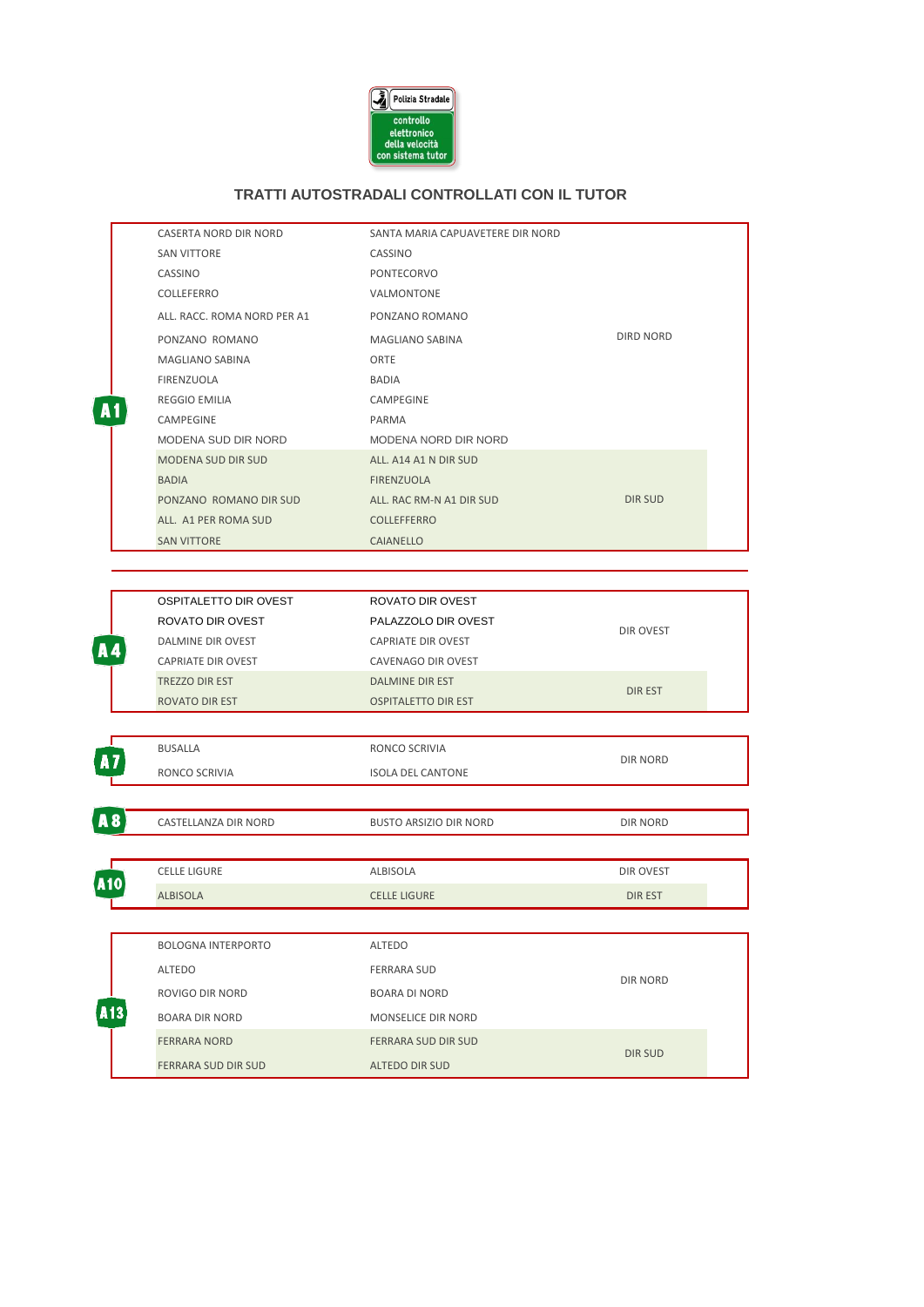

## **TRATTI AUTOSTRADALI CONTROLLATI CON IL TUTOR**

|                | CASERTA NORD DIR NORD                     | SANTA MARIA CAPUAVETERE DIR NORD          |                  |  |
|----------------|-------------------------------------------|-------------------------------------------|------------------|--|
|                | <b>SAN VITTORE</b>                        | CASSINO                                   |                  |  |
|                | CASSINO                                   | PONTECORVO                                |                  |  |
|                | COLLEFERRO                                | VALMONTONE                                |                  |  |
|                | ALL. RACC. ROMA NORD PER A1               | PONZANO ROMANO                            |                  |  |
|                | PONZANO ROMANO                            | MAGLIANO SABINA                           | <b>DIRD NORD</b> |  |
|                | MAGLIANO SABINA                           | ORTE                                      |                  |  |
|                | FIRENZUOLA                                | BADIA                                     |                  |  |
| A1             | REGGIO EMILIA                             | CAMPEGINE                                 |                  |  |
|                | CAMPEGINE                                 | PARMA                                     |                  |  |
|                | MODENA SUD DIR NORD                       | MODENA NORD DIR NORD                      |                  |  |
|                | MODENA SUD DIR SUD                        | ALL. A14 A1 N DIR SUD                     |                  |  |
|                | <b>BADIA</b>                              | FIRENZUOLA                                |                  |  |
|                | PONZANO ROMANO DIR SUD                    | ALL. RAC RM-N A1 DIR SUD                  | <b>DIR SUD</b>   |  |
|                | ALL. A1 PER ROMA SUD                      | <b>COLLEFFERRO</b>                        |                  |  |
|                | <b>SAN VITTORE</b>                        | CAIANELLO                                 |                  |  |
|                |                                           |                                           |                  |  |
|                |                                           |                                           |                  |  |
|                | OSPITALETTO DIR OVEST<br>ROVATO DIR OVEST | ROVATO DIR OVEST                          | DIR OVEST        |  |
|                | DALMINE DIR OVEST                         | PALAZZOLO DIR OVEST<br>CAPRIATE DIR OVEST |                  |  |
| A4             | CAPRIATE DIR OVEST                        | CAVENAGO DIR OVEST                        |                  |  |
|                | TREZZO DIR EST                            | DALMINE DIR EST                           |                  |  |
|                | ROVATO DIR EST                            | <b>OSPITALETTO DIR EST</b>                | <b>DIREST</b>    |  |
|                |                                           |                                           |                  |  |
|                | BUSALLA                                   | RONCO SCRIVIA                             | DIR NORD         |  |
|                | RONCO SCRIVIA                             | <b>ISOLA DEL CANTONE</b>                  |                  |  |
|                |                                           |                                           |                  |  |
| A <sub>8</sub> | CASTELLANZA DIR NORD                      | <b>BUSTO ARSIZIO DIR NORD</b>             | DIR NORD         |  |
|                |                                           |                                           |                  |  |
| A10            | <b>CELLE LIGURE</b>                       | ALBISOLA                                  | DIR OVEST        |  |
|                | <b>ALBISOLA</b>                           | <b>CELLE LIGURE</b>                       | <b>DIREST</b>    |  |
|                |                                           |                                           |                  |  |
|                | <b>BOLOGNA INTERPORTO</b>                 | ALTEDO                                    |                  |  |
|                | ALTEDO                                    | <b>FERRARA SUD</b>                        |                  |  |
|                |                                           |                                           | DIR NORD         |  |
|                | ROVIGO DIR NORD<br><b>BOARA DIR NORD</b>  | BOARA DI NORD<br>MONSELICE DIR NORD       |                  |  |
|                | <b>FERRARA NORD</b>                       | FERRARA SUD DIR SUD                       |                  |  |
|                |                                           |                                           | <b>DIR SUD</b>   |  |
|                | FERRARA SUD DIR SUD                       | <b>ALTEDO DIR SUD</b>                     |                  |  |